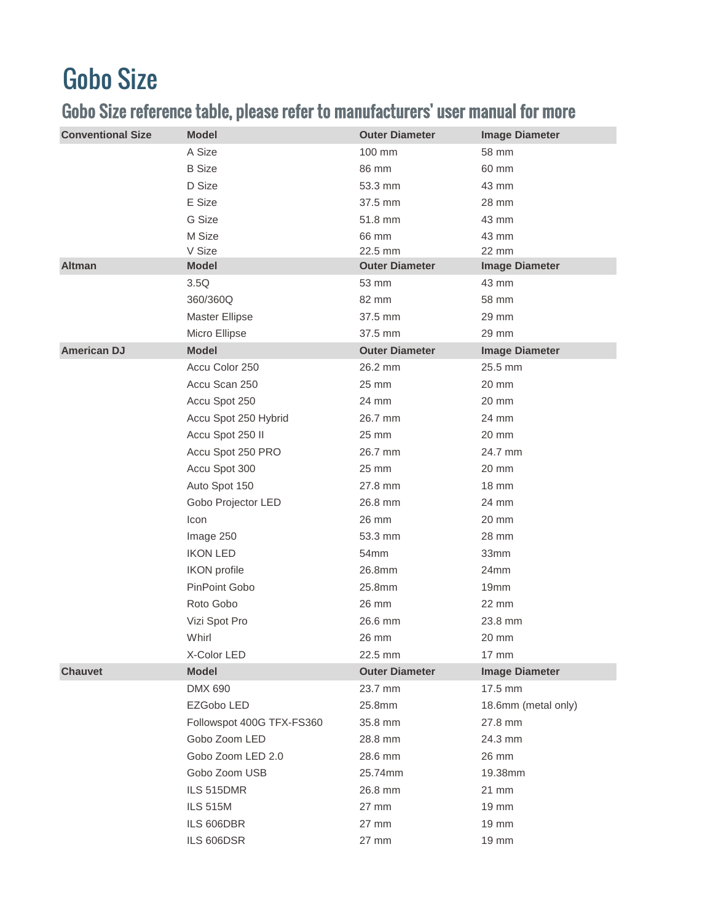## Gobo Size

## Gobo Size reference table, please refer to manufacturers' user manual for more

| <b>Conventional Size</b> | <b>Model</b>              | <b>Outer Diameter</b>            | <b>Image Diameter</b>          |
|--------------------------|---------------------------|----------------------------------|--------------------------------|
|                          | A Size                    | 100 mm                           | 58 mm                          |
|                          | <b>B</b> Size             | 86 mm                            | 60 mm                          |
|                          | D Size                    | 53.3 mm                          | 43 mm                          |
|                          | E Size                    | 37.5 mm                          | 28 mm                          |
|                          | G Size                    | 51.8 mm                          | 43 mm                          |
|                          | M Size                    | 66 mm                            | 43 mm                          |
| <b>Altman</b>            | V Size<br><b>Model</b>    | 22.5 mm<br><b>Outer Diameter</b> | 22 mm<br><b>Image Diameter</b> |
|                          | 3.5Q                      | 53 mm                            | 43 mm                          |
|                          | 360/360Q                  | 82 mm                            | 58 mm                          |
|                          | Master Ellipse            | 37.5 mm                          | 29 mm                          |
|                          | Micro Ellipse             | 37.5 mm                          | 29 mm                          |
| <b>American DJ</b>       | <b>Model</b>              | <b>Outer Diameter</b>            | <b>Image Diameter</b>          |
|                          | Accu Color 250            | 26.2 mm                          | 25.5 mm                        |
|                          | Accu Scan 250             | 25 mm                            | 20 mm                          |
|                          | Accu Spot 250             | 24 mm                            | 20 mm                          |
|                          | Accu Spot 250 Hybrid      | 26.7 mm                          | 24 mm                          |
|                          | Accu Spot 250 II          | 25 mm                            | $20 \text{ mm}$                |
|                          | Accu Spot 250 PRO         | 26.7 mm                          | 24.7 mm                        |
|                          | Accu Spot 300             | 25 mm                            | 20 mm                          |
|                          | Auto Spot 150             | 27.8 mm                          | 18 mm                          |
|                          | Gobo Projector LED        | 26.8 mm                          | 24 mm                          |
|                          | Icon                      | 26 mm                            | $20 \text{ mm}$                |
|                          | Image 250                 | 53.3 mm                          | 28 mm                          |
|                          | <b>IKON LED</b>           | 54mm                             | 33mm                           |
|                          | <b>IKON</b> profile       | 26.8mm                           | 24mm                           |
|                          | PinPoint Gobo             | 25.8mm                           | 19 <sub>mm</sub>               |
|                          | Roto Gobo                 | 26 mm                            | 22 mm                          |
|                          | Vizi Spot Pro             | 26.6 mm                          | 23.8 mm                        |
|                          | Whirl                     | 26 mm                            | 20 mm                          |
|                          | X-Color LED               | 22.5 mm                          | 17 mm                          |
| <b>Chauvet</b>           | <b>Model</b>              | <b>Outer Diameter</b>            | <b>Image Diameter</b>          |
|                          | DMX 690                   | 23.7 mm                          | 17.5 mm                        |
|                          | EZGobo LED                | 25.8mm                           | 18.6mm (metal only)            |
|                          | Followspot 400G TFX-FS360 | 35.8 mm                          | 27.8 mm                        |
|                          | Gobo Zoom LED             | 28.8 mm                          | 24.3 mm                        |
|                          | Gobo Zoom LED 2.0         | 28.6 mm                          | 26 mm                          |
|                          | Gobo Zoom USB             | 25.74mm                          | 19.38mm                        |
|                          | ILS 515DMR                | 26.8 mm                          | 21 mm                          |
|                          | <b>ILS 515M</b>           | 27 mm                            | 19 mm                          |
|                          | ILS 606DBR                | 27 mm                            | 19 mm                          |
|                          | ILS 606DSR                | 27 mm                            | 19 mm                          |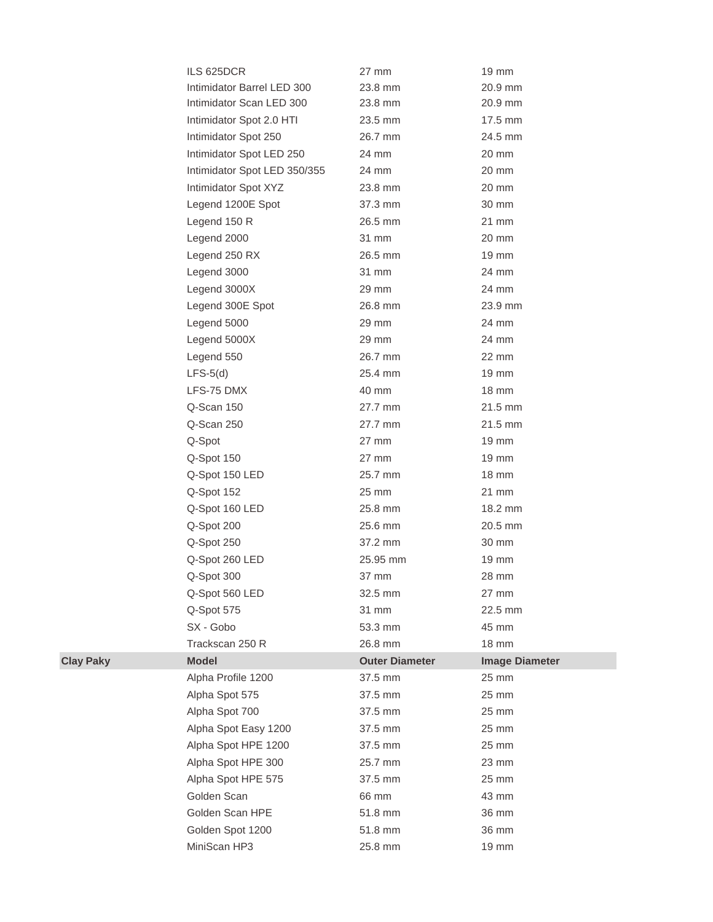| ILS 625DCR                   | 27 mm                 | 19 mm                 |
|------------------------------|-----------------------|-----------------------|
| Intimidator Barrel LED 300   | 23.8 mm               | 20.9 mm               |
| Intimidator Scan LED 300     | 23.8 mm               | 20.9 mm               |
| Intimidator Spot 2.0 HTI     | 23.5 mm               | 17.5 mm               |
| Intimidator Spot 250         | 26.7 mm               | 24.5 mm               |
| Intimidator Spot LED 250     | 24 mm                 | 20 mm                 |
| Intimidator Spot LED 350/355 | 24 mm                 | 20 mm                 |
| Intimidator Spot XYZ         | 23.8 mm               | 20 mm                 |
| Legend 1200E Spot            | 37.3 mm               | 30 mm                 |
| Legend 150 R                 | 26.5 mm               | 21 mm                 |
| Legend 2000                  | 31 mm                 | $20 \text{ mm}$       |
| Legend 250 RX                | 26.5 mm               | $19 \text{ mm}$       |
| Legend 3000                  | 31 mm                 | 24 mm                 |
| Legend 3000X                 | 29 mm                 | 24 mm                 |
| Legend 300E Spot             | 26.8 mm               | 23.9 mm               |
| Legend 5000                  | 29 mm                 | 24 mm                 |
| Legend 5000X                 | 29 mm                 | 24 mm                 |
| Legend 550                   | 26.7 mm               | 22 mm                 |
| $LFS-5(d)$                   | 25.4 mm               | $19 \text{ mm}$       |
| LFS-75 DMX                   | 40 mm                 | $18 \text{ mm}$       |
| Q-Scan 150                   | 27.7 mm               | $21.5$ mm             |
| Q-Scan 250                   | 27.7 mm               | $21.5$ mm             |
| Q-Spot                       | 27 mm                 | 19 mm                 |
| Q-Spot 150                   | 27 mm                 | 19 mm                 |
| Q-Spot 150 LED               | 25.7 mm               | $18 \text{ mm}$       |
| Q-Spot 152                   | 25 mm                 | $21 \text{ mm}$       |
| Q-Spot 160 LED               | 25.8 mm               | 18.2 mm               |
| Q-Spot 200                   | 25.6 mm               | 20.5 mm               |
| Q-Spot 250                   | 37.2 mm               | 30 mm                 |
| Q-Spot 260 LED               | 25.95 mm              | 19 mm                 |
| Q-Spot 300                   | 37 mm                 | 28 mm                 |
| Q-Spot 560 LED               | 32.5 mm               | 27 mm                 |
| Q-Spot 575                   | 31 mm                 | 22.5 mm               |
| SX - Gobo                    | 53.3 mm               | 45 mm                 |
| Trackscan 250 R              | 26.8 mm               | 18 mm                 |
| <b>Model</b>                 | <b>Outer Diameter</b> | <b>Image Diameter</b> |
| Alpha Profile 1200           | 37.5 mm               | 25 mm                 |
| Alpha Spot 575               | 37.5 mm               | 25 mm                 |
| Alpha Spot 700               | 37.5 mm               | 25 mm                 |
| Alpha Spot Easy 1200         | 37.5 mm               | 25 mm                 |
| Alpha Spot HPE 1200          | 37.5 mm               | 25 mm                 |
| Alpha Spot HPE 300           | 25.7 mm               | 23 mm                 |
| Alpha Spot HPE 575           | 37.5 mm               | 25 mm                 |
| Golden Scan                  | 66 mm                 | 43 mm                 |
| Golden Scan HPE              | 51.8 mm               | 36 mm                 |
| Golden Spot 1200             | 51.8 mm               | 36 mm                 |
| MiniScan HP3                 | 25.8 mm               | 19 mm                 |

 $Clay$  Paky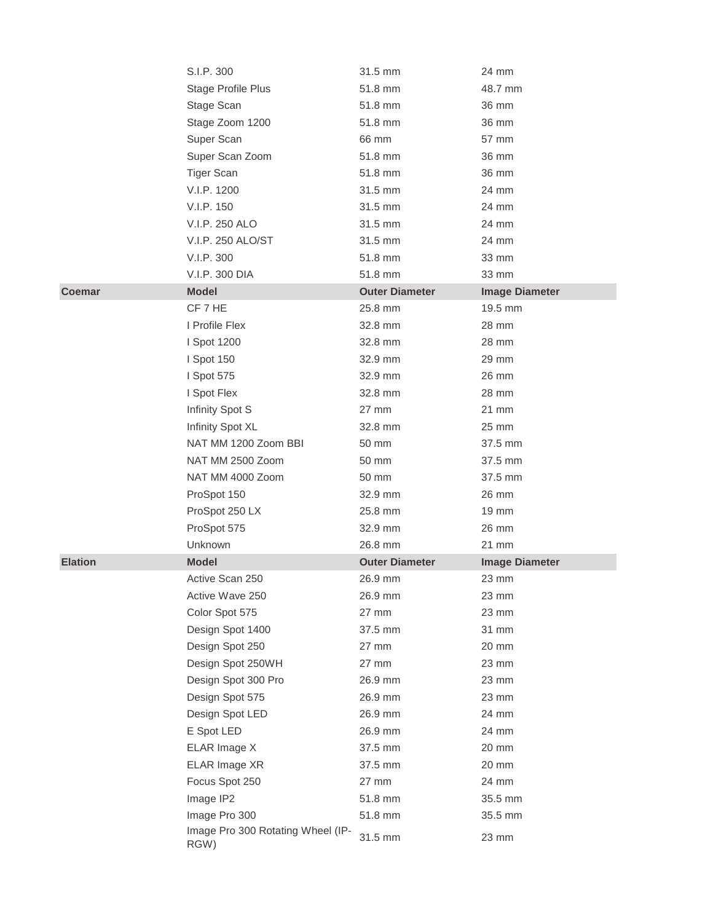|                | S.I.P. 300                                | 31.5 mm               | 24 mm                 |
|----------------|-------------------------------------------|-----------------------|-----------------------|
|                | Stage Profile Plus                        | 51.8 mm               | 48.7 mm               |
|                | Stage Scan                                | 51.8 mm               | 36 mm                 |
|                | Stage Zoom 1200                           | 51.8 mm               | 36 mm                 |
|                | Super Scan                                | 66 mm                 | 57 mm                 |
|                | Super Scan Zoom                           | 51.8 mm               | 36 mm                 |
|                | <b>Tiger Scan</b>                         | 51.8 mm               | 36 mm                 |
|                | V.I.P. 1200                               | 31.5 mm               | 24 mm                 |
|                | V.I.P. 150                                | 31.5 mm               | 24 mm                 |
|                | V.I.P. 250 ALO                            | 31.5 mm               | 24 mm                 |
|                | V.I.P. 250 ALO/ST                         | 31.5 mm               | 24 mm                 |
|                | V.I.P. 300                                | 51.8 mm               | 33 mm                 |
|                | V.I.P. 300 DIA                            | 51.8 mm               | 33 mm                 |
| <b>Coemar</b>  | <b>Model</b>                              | <b>Outer Diameter</b> | <b>Image Diameter</b> |
|                | CF 7 HE                                   | 25.8 mm               | 19.5 mm               |
|                | I Profile Flex                            | 32.8 mm               | 28 mm                 |
|                | I Spot 1200                               | 32.8 mm               | 28 mm                 |
|                | I Spot 150                                | 32.9 mm               | 29 mm                 |
|                | I Spot 575                                | 32.9 mm               | 26 mm                 |
|                | I Spot Flex                               | 32.8 mm               | 28 mm                 |
|                | Infinity Spot S                           | 27 mm                 | 21 mm                 |
|                | Infinity Spot XL                          | 32.8 mm               | 25 mm                 |
|                | NAT MM 1200 Zoom BBI                      | 50 mm                 | 37.5 mm               |
|                | NAT MM 2500 Zoom                          | 50 mm                 | 37.5 mm               |
|                | NAT MM 4000 Zoom                          | 50 mm                 | 37.5 mm               |
|                | ProSpot 150                               | 32.9 mm               | 26 mm                 |
|                | ProSpot 250 LX                            | 25.8 mm               | 19 mm                 |
|                | ProSpot 575                               | 32.9 mm               | 26 mm                 |
|                | Unknown                                   | 26.8 mm               | 21 mm                 |
| <b>Elation</b> | <b>Model</b>                              | <b>Outer Diameter</b> | <b>Image Diameter</b> |
|                | Active Scan 250                           | 26.9 mm               | 23 mm                 |
|                | Active Wave 250                           | 26.9 mm               | 23 mm                 |
|                | Color Spot 575                            | 27 mm                 | 23 mm                 |
|                | Design Spot 1400                          | 37.5 mm               | 31 mm                 |
|                | Design Spot 250                           | 27 mm                 | 20 mm                 |
|                | Design Spot 250WH                         | 27 mm                 | 23 mm                 |
|                | Design Spot 300 Pro                       | 26.9 mm               | 23 mm                 |
|                | Design Spot 575                           | 26.9 mm               | 23 mm                 |
|                | Design Spot LED                           | 26.9 mm               | 24 mm                 |
|                | E Spot LED                                | 26.9 mm               | 24 mm                 |
|                | ELAR Image X                              | 37.5 mm               | 20 mm                 |
|                | ELAR Image XR                             | 37.5 mm               | 20 mm                 |
|                | Focus Spot 250                            | 27 mm                 | 24 mm                 |
|                | Image IP2                                 | 51.8 mm               | 35.5 mm               |
|                | Image Pro 300                             | 51.8 mm               | 35.5 mm               |
|                | Image Pro 300 Rotating Wheel (IP-<br>RGW) | 31.5 mm               | 23 mm                 |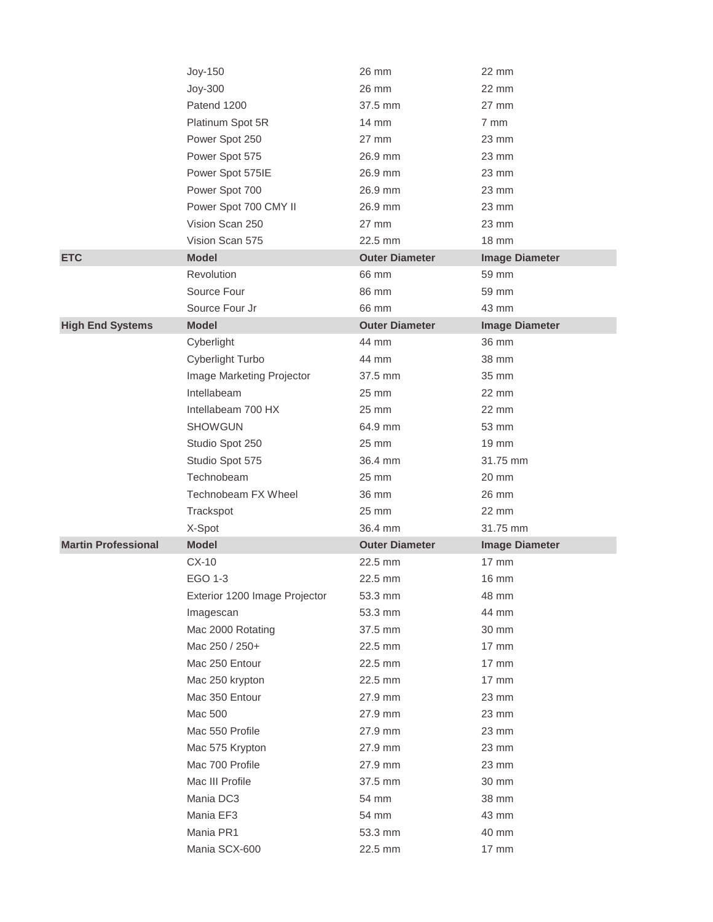|                            | Joy-150                       | 26 mm                 | 22 mm                 |
|----------------------------|-------------------------------|-----------------------|-----------------------|
|                            | Joy-300                       | 26 mm                 | 22 mm                 |
|                            | Patend 1200                   | 37.5 mm               | $27$ mm               |
|                            | Platinum Spot 5R              | 14 mm                 | 7 mm                  |
|                            | Power Spot 250                | $27 \text{ mm}$       | $23 \text{ mm}$       |
|                            | Power Spot 575                | 26.9 mm               | $23 \text{ mm}$       |
|                            | Power Spot 575IE              | 26.9 mm               | $23 \text{ mm}$       |
|                            | Power Spot 700                | 26.9 mm               | $23 \text{ mm}$       |
|                            | Power Spot 700 CMY II         | 26.9 mm               | $23 \text{ mm}$       |
|                            | Vision Scan 250               | $27 \text{ mm}$       | 23 mm                 |
|                            | Vision Scan 575               | 22.5 mm               | 18 mm                 |
| <b>ETC</b>                 | <b>Model</b>                  | <b>Outer Diameter</b> | <b>Image Diameter</b> |
|                            | Revolution                    | 66 mm                 | 59 mm                 |
|                            | Source Four                   | 86 mm                 | 59 mm                 |
|                            | Source Four Jr                | 66 mm                 | 43 mm                 |
| <b>High End Systems</b>    | <b>Model</b>                  | <b>Outer Diameter</b> | <b>Image Diameter</b> |
|                            | Cyberlight                    | 44 mm                 | 36 mm                 |
|                            | Cyberlight Turbo              | 44 mm                 | 38 mm                 |
|                            | Image Marketing Projector     | 37.5 mm               | 35 mm                 |
|                            | Intellabeam                   | 25 mm                 | 22 mm                 |
|                            | Intellabeam 700 HX            | 25 mm                 | $22 \text{ mm}$       |
|                            | <b>SHOWGUN</b>                | 64.9 mm               | 53 mm                 |
|                            | Studio Spot 250               | 25 mm                 | $19 \text{ mm}$       |
|                            | Studio Spot 575               | 36.4 mm               | 31.75 mm              |
|                            | Technobeam                    | 25 mm                 | 20 mm                 |
|                            |                               |                       |                       |
|                            | Technobeam FX Wheel           | 36 mm                 | 26 mm                 |
|                            | Trackspot                     | 25 mm                 | $22 \text{ mm}$       |
|                            | X-Spot                        | 36.4 mm               | 31.75 mm              |
| <b>Martin Professional</b> | <b>Model</b>                  | <b>Outer Diameter</b> | <b>Image Diameter</b> |
|                            | $CX-10$                       | 22.5 mm               | 17 mm                 |
|                            | EGO 1-3                       | 22.5 mm               | 16 mm                 |
|                            | Exterior 1200 Image Projector | 53.3 mm               | 48 mm                 |
|                            | Imagescan                     | 53.3 mm               | 44 mm                 |
|                            | Mac 2000 Rotating             | 37.5 mm               | 30 mm                 |
|                            | Mac 250 / 250+                | 22.5 mm               | 17 mm                 |
|                            | Mac 250 Entour                | 22.5 mm               | 17 mm                 |
|                            | Mac 250 krypton               | 22.5 mm               | $17 \text{ mm}$       |
|                            | Mac 350 Entour                | 27.9 mm               | 23 mm                 |
|                            | Mac 500                       | 27.9 mm               | 23 mm                 |
|                            | Mac 550 Profile               | 27.9 mm               | 23 mm                 |
|                            | Mac 575 Krypton               | 27.9 mm               | 23 mm                 |
|                            | Mac 700 Profile               | 27.9 mm               | 23 mm                 |
|                            | Mac III Profile               | 37.5 mm               | 30 mm                 |
|                            | Mania DC3                     | 54 mm                 | 38 mm                 |
|                            | Mania EF3                     | 54 mm                 | 43 mm                 |
|                            | Mania PR1<br>Mania SCX-600    | 53.3 mm<br>22.5 mm    | 40 mm<br>17 mm        |